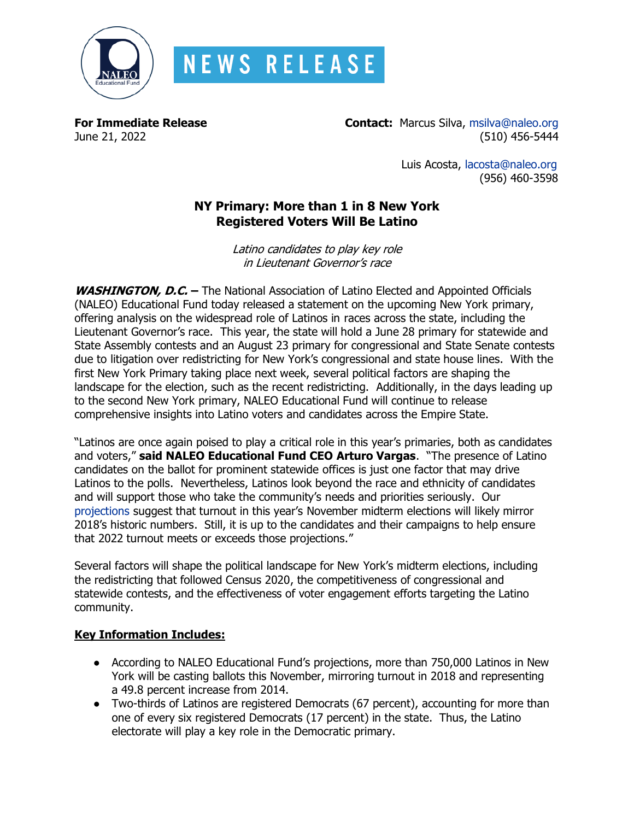

## **NEWS RELEASE**

**For Immediate Release Contact:** Marcus Silva, [msilva@naleo.org](mailto:msilva@naleo.org) June 21, 2022 (510) 456-5444

> Luis Acosta, [lacosta@naleo.org](mailto:lacosta@naleo.org) (956) 460-3598

## **NY Primary: More than 1 in 8 New York Registered Voters Will Be Latino**

Latino candidates to play key role in Lieutenant Governor's race

**WASHINGTON, D.C. –** The National Association of Latino Elected and Appointed Officials (NALEO) Educational Fund today released a statement on the upcoming New York primary, offering analysis on the widespread role of Latinos in races across the state, including the Lieutenant Governor's race. This year, the state will hold a June 28 primary for statewide and State Assembly contests and an August 23 primary for congressional and State Senate contests due to litigation over redistricting for New York's congressional and state house lines. With the first New York Primary taking place next week, several political factors are shaping the landscape for the election, such as the recent redistricting. Additionally, in the days leading up to the second New York primary, NALEO Educational Fund will continue to release comprehensive insights into Latino voters and candidates across the Empire State.

"Latinos are once again poised to play a critical role in this year's primaries, both as candidates and voters," **said NALEO Educational Fund CEO Arturo Vargas**. "The presence of Latino candidates on the ballot for prominent statewide offices is just one factor that may drive Latinos to the polls. Nevertheless, Latinos look beyond the race and ethnicity of candidates and will support those who take the community's needs and priorities seriously. Our [projections](https://naleo.org/COMMS/PRA/2022/2022-Projections-Final.pdf) suggest that turnout in this year's November midterm elections will likely mirror 2018's historic numbers. Still, it is up to the candidates and their campaigns to help ensure that 2022 turnout meets or exceeds those projections."

Several factors will shape the political landscape for New York's midterm elections, including the redistricting that followed Census 2020, the competitiveness of congressional and statewide contests, and the effectiveness of voter engagement efforts targeting the Latino community.

## **Key Information Includes:**

- According to NALEO Educational Fund's projections, more than 750,000 Latinos in New York will be casting ballots this November, mirroring turnout in 2018 and representing a 49.8 percent increase from 2014.
- Two-thirds of Latinos are registered Democrats (67 percent), accounting for more than one of every six registered Democrats (17 percent) in the state. Thus, the Latino electorate will play a key role in the Democratic primary.